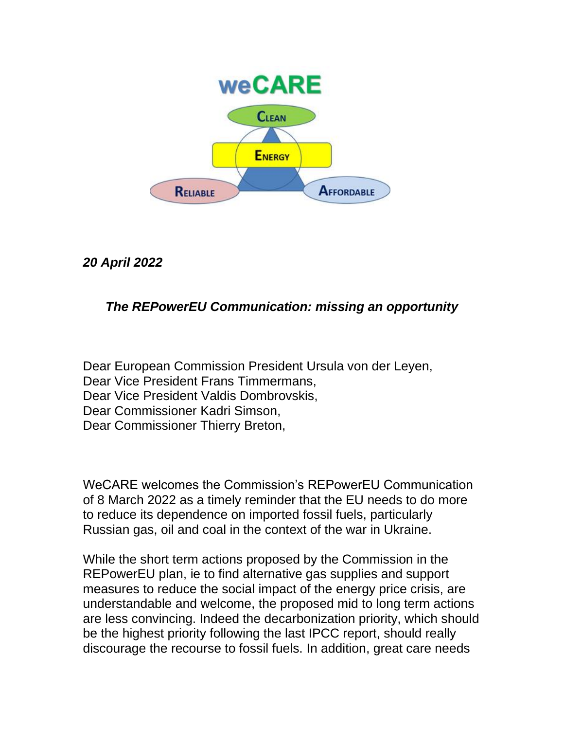

*20 April 2022*

## *The REPowerEU Communication: missing an opportunity*

Dear European Commission President Ursula von der Leyen, Dear Vice President Frans Timmermans, Dear Vice President Valdis Dombrovskis, Dear Commissioner Kadri Simson, Dear Commissioner Thierry Breton,

WeCARE welcomes the Commission's REPowerEU Communication of 8 March 2022 as a timely reminder that the EU needs to do more to reduce its dependence on imported fossil fuels, particularly Russian gas, oil and coal in the context of the war in Ukraine.

While the short term actions proposed by the Commission in the REPowerEU plan, ie to find alternative gas supplies and support measures to reduce the social impact of the energy price crisis, are understandable and welcome, the proposed mid to long term actions are less convincing. Indeed the decarbonization priority, which should be the highest priority following the last IPCC report, should really discourage the recourse to fossil fuels. In addition, great care needs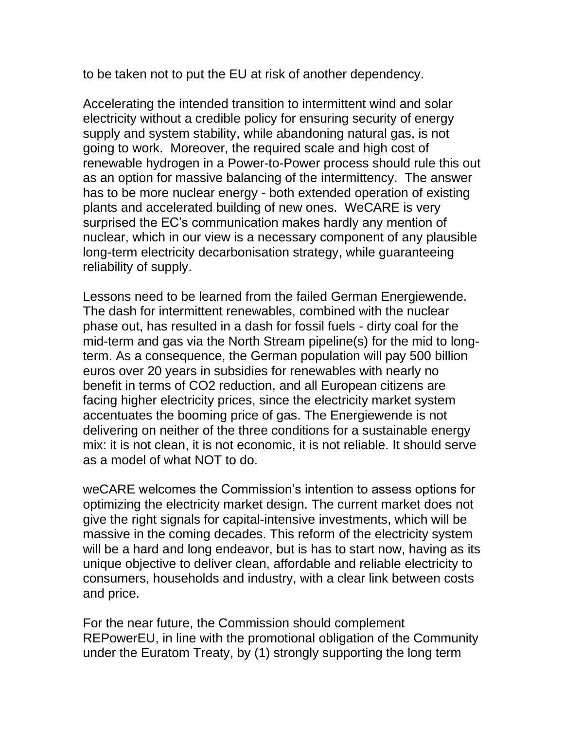to be taken not to put the EU at risk of another dependency.

Accelerating the intended transition to intermittent wind and solar electricity without a credible policy for ensuring security of energy supply and system stability, while abandoning natural gas, is not going to work. Moreover, the required scale and high cost of renewable hydrogen in a Power-to-Power process should rule this out as an option for massive balancing of the intermittency. The answer has to be more nuclear energy - both extended operation of existing plants and accelerated building of new ones. WeCARE is very surprised the EC's communication makes hardly any mention of nuclear, which in our view is a necessary component of any plausible long-term electricity decarbonisation strategy, while guaranteeing reliability of supply.

Lessons need to be learned from the failed German Energiewende. The dash for intermittent renewables, combined with the nuclear phase out, has resulted in a dash for fossil fuels - dirty coal for the mid-term and gas via the North Stream pipeline(s) for the mid to longterm. As a consequence, the German population will pay 500 billion euros over 20 years in subsidies for renewables with nearly no benefit in terms of CO2 reduction, and all European citizens are facing higher electricity prices, since the electricity market system accentuates the booming price of gas. The Energiewende is not delivering on neither of the three conditions for a sustainable energy mix: it is not clean, it is not economic, it is not reliable. It should serve as a model of what NOT to do.

weCARE welcomes the Commission's intention to assess options for optimizing the electricity market design. The current market does not give the right signals for capital-intensive investments, which will be massive in the coming decades. This reform of the electricity system will be a hard and long endeavor, but is has to start now, having as its unique objective to deliver clean, affordable and reliable electricity to consumers, households and industry, with a clear link between costs and price.

For the near future, the Commission should complement REPowerEU, in line with the promotional obligation of the Community under the Euratom Treaty, by (1) strongly supporting the long term